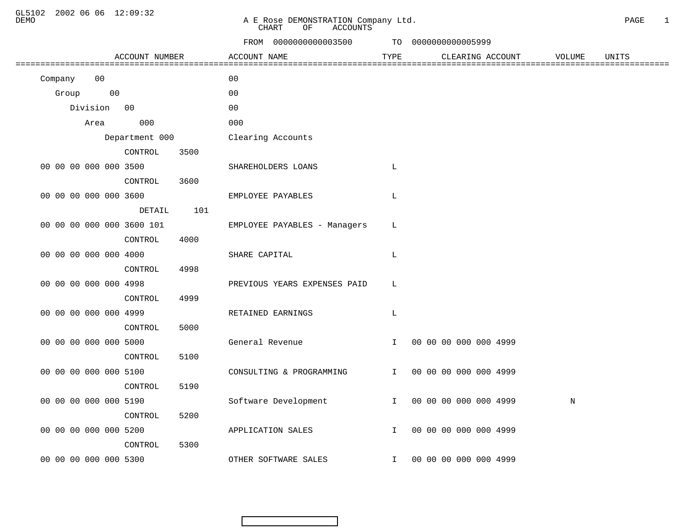GL5102 2002 06 06 12:09:32

## DEMO A E Rose DEMONSTRATION Company Ltd. PAGE 1 CHART OF ACCOUNTS

|                           | FROM 0000000000003500        |              | TO 0000000000005999     |             |       |
|---------------------------|------------------------------|--------------|-------------------------|-------------|-------|
| ACCOUNT NUMBER            | ACCOUNT NAME                 | TYPE         | CLEARING ACCOUNT        | VOLUME      | UNITS |
| Company 00                | 00                           |              |                         |             |       |
| Group 00                  | 00                           |              |                         |             |       |
| Division 00               | 00                           |              |                         |             |       |
| 000<br>Area               | 000                          |              |                         |             |       |
| Department 000            | Clearing Accounts            |              |                         |             |       |
| 3500<br>CONTROL           |                              |              |                         |             |       |
| 00 00 00 000 000 3500     | SHAREHOLDERS LOANS           | L            |                         |             |       |
| CONTROL 3600              |                              |              |                         |             |       |
| 00 00 00 000 000 3600     | EMPLOYEE PAYABLES            | L            |                         |             |       |
| DETAIL 101                |                              |              |                         |             |       |
| 00 00 00 000 000 3600 101 | EMPLOYEE PAYABLES - Managers | L            |                         |             |       |
| 4000<br>CONTROL           |                              |              |                         |             |       |
| 00 00 00 000 000 4000     | SHARE CAPITAL                | L            |                         |             |       |
| 4998<br>CONTROL           |                              |              |                         |             |       |
| 00 00 00 000 000 4998     | PREVIOUS YEARS EXPENSES PAID | L            |                         |             |       |
| 4999<br>CONTROL           |                              |              |                         |             |       |
| 00 00 00 000 000 4999     | RETAINED EARNINGS            | L            |                         |             |       |
| CONTROL<br>5000           |                              |              |                         |             |       |
| 00 00 00 000 000 5000     | General Revenue              |              | I 00 00 00 000 000 4999 |             |       |
| CONTROL<br>5100           |                              |              |                         |             |       |
| 00 00 00 000 000 5100     | CONSULTING & PROGRAMMING     | $\mathbf{I}$ | 00 00 00 000 000 4999   |             |       |
| CONTROL<br>5190           |                              |              |                         |             |       |
| 00 00 00 000 000 5190     | Software Development         |              | I 00 00 00 000 000 4999 | $\mathbf N$ |       |
| 5200<br>CONTROL           |                              |              |                         |             |       |
| 00 00 00 000 000 5200     | APPLICATION SALES            | $\mathbf{I}$ | 00 00 00 000 000 4999   |             |       |
| 5300<br>CONTROL           |                              |              |                         |             |       |
| 00 00 00 000 000 5300     | OTHER SOFTWARE SALES         | $\mathbf{I}$ | 00 00 00 000 000 4999   |             |       |